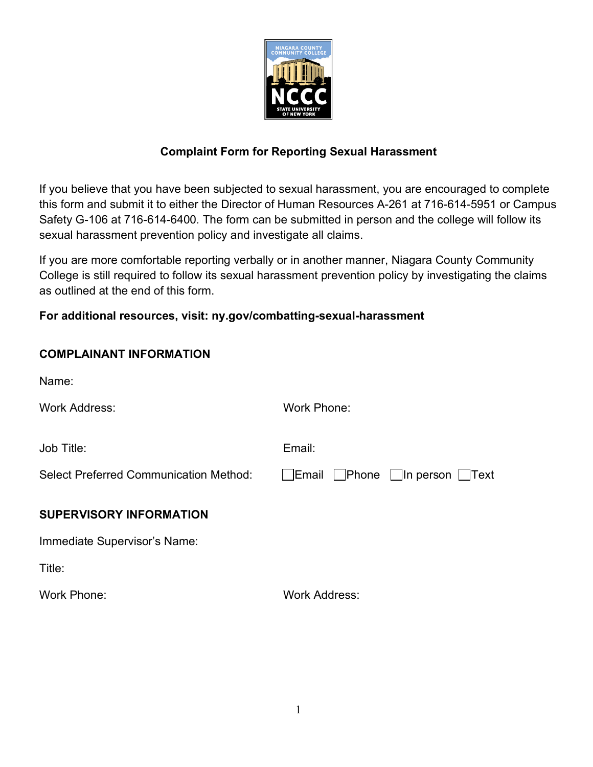

## **Complaint Form for Reporting Sexual Harassment**

If you believe that you have been subjected to sexual harassment, you are encouraged to complete this form and submit it to either the Director of Human Resources A-261 at 716-614-5951 or Campus Safety G-106 at 716-614-6400*.* The form can be submitted in person and the college will follow its sexual harassment prevention policy and investigate all claims.

If you are more comfortable reporting verbally or in another manner, Niagara County Community College is still required to follow its sexual harassment prevention policy by investigating the claims as outlined at the end of this form.

## **For additional resources, visit: ny.gov/combatting-sexual-harassment**

| <b>COMPLAINANT INFORMATION</b>                |                                             |
|-----------------------------------------------|---------------------------------------------|
| Name:                                         |                                             |
| <b>Work Address:</b>                          | Work Phone:                                 |
| Job Title:                                    | Email:                                      |
| <b>Select Preferred Communication Method:</b> | <b>Email</b><br><b>Phone</b> In person Text |
| <b>SUPERVISORY INFORMATION</b>                |                                             |
| Immediate Supervisor's Name:                  |                                             |
| Title:                                        |                                             |
| <b>Work Phone:</b>                            | <b>Work Address:</b>                        |